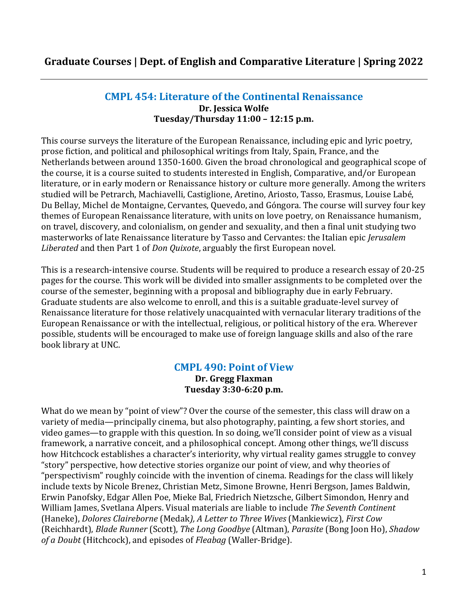# **Graduate Courses | Dept. of English and Comparative Literature | Spring 2022**

#### **CMPL 454: Literature of the Continental Renaissance Dr. Jessica Wolfe Tuesday/Thursday 11:00 – 12:15 p.m.**

This course surveys the literature of the European Renaissance, including epic and lyric poetry, prose fiction, and political and philosophical writings from Italy, Spain, France, and the Netherlands between around 1350-1600. Given the broad chronological and geographical scope of the course, it is a course suited to students interested in English, Comparative, and/or European literature, or in early modern or Renaissance history or culture more generally. Among the writers studied will be Petrarch, Machiavelli, Castiglione, Aretino, Ariosto, Tasso, Erasmus, Louise Labé, Du Bellay, Michel de Montaigne, Cervantes, Quevedo, and Góngora. The course will survey four key themes of European Renaissance literature, with units on love poetry, on Renaissance humanism, on travel, discovery, and colonialism, on gender and sexuality, and then a final unit studying two masterworks of late Renaissance literature by Tasso and Cervantes: the Italian epic *Jerusalem Liberated* and then Part 1 of *Don Quixote*, arguably the first European novel.

This is a research-intensive course. Students will be required to produce a research essay of 20-25 pages for the course. This work will be divided into smaller assignments to be completed over the course of the semester, beginning with a proposal and bibliography due in early February. Graduate students are also welcome to enroll, and this is a suitable graduate-level survey of Renaissance literature for those relatively unacquainted with vernacular literary traditions of the European Renaissance or with the intellectual, religious, or political history of the era. Wherever possible, students will be encouraged to make use of foreign language skills and also of the rare book library at UNC.

## **CMPL 490: Point of View**

**Dr. Gregg Flaxman Tuesday 3:30-6:20 p.m.**

What do we mean by "point of view"? Over the course of the semester, this class will draw on a variety of media—principally cinema, but also photography, painting, a few short stories, and video games—to grapple with this question. In so doing, we'll consider point of view as a visual framework, a narrative conceit, and a philosophical concept. Among other things, we'll discuss how Hitchcock establishes a character's interiority, why virtual reality games struggle to convey "story" perspective, how detective stories organize our point of view, and why theories of "perspectivism" roughly coincide with the invention of cinema. Readings for the class will likely include texts by Nicole Brenez, Christian Metz, Simone Browne, Henri Bergson, James Baldwin, Erwin Panofsky, Edgar Allen Poe, Mieke Bal, Friedrich Nietzsche, Gilbert Simondon, Henry and William James, Svetlana Alpers. Visual materials are liable to include *The Seventh Continent* (Haneke), *Dolores Claireborne* (Medak*), A Letter to Three Wives* (Mankiewicz), *First Cow* (Reichhardt), *Blade Runner* (Scott), *The Long Goodbye* (Altman), *Parasite* (Bong Joon Ho), *Shadow of a Doubt* (Hitchcock), and episodes of *Fleabag* (Waller-Bridge).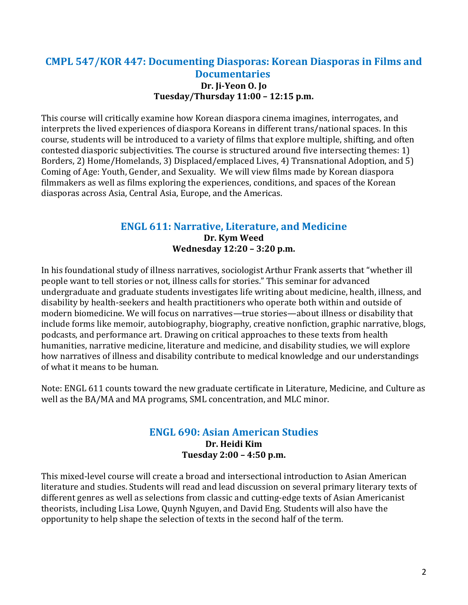## **CMPL 547/KOR 447: Documenting Diasporas: Korean Diasporas in Films and Documentaries Dr. Ji-Yeon O. Jo Tuesday/Thursday 11:00 – 12:15 p.m.**

This course will critically examine how Korean diaspora cinema imagines, interrogates, and interprets the lived experiences of diaspora Koreans in different trans/national spaces. In this course, students will be introduced to a variety of films that explore multiple, shifting, and often contested diasporic subjectivities. The course is structured around five intersecting themes: 1) Borders, 2) Home/Homelands, 3) Displaced/emplaced Lives, 4) Transnational Adoption, and 5) Coming of Age: Youth, Gender, and Sexuality. We will view films made by Korean diaspora filmmakers as well as films exploring the experiences, conditions, and spaces of the Korean diasporas across Asia, Central Asia, Europe, and the Americas.

# **ENGL 611: Narrative, Literature, and Medicine**

**Dr. Kym Weed Wednesday 12:20 – 3:20 p.m.**

In his foundational study of illness narratives, sociologist Arthur Frank asserts that "whether ill people want to tell stories or not, illness calls for stories." This seminar for advanced undergraduate and graduate students investigates life writing about medicine, health, illness, and disability by health-seekers and health practitioners who operate both within and outside of modern biomedicine. We will focus on narratives—true stories—about illness or disability that include forms like memoir, autobiography, biography, creative nonfiction, graphic narrative, blogs, podcasts, and performance art. Drawing on critical approaches to these texts from health humanities, narrative medicine, literature and medicine, and disability studies, we will explore how narratives of illness and disability contribute to medical knowledge and our understandings of what it means to be human.

Note: ENGL 611 counts toward the new graduate certificate in Literature, Medicine, and Culture as well as the BA/MA and MA programs, SML concentration, and MLC minor.

#### **ENGL 690: Asian American Studies Dr. Heidi Kim Tuesday 2:00 – 4:50 p.m.**

This mixed-level course will create a broad and intersectional introduction to Asian American literature and studies. Students will read and lead discussion on several primary literary texts of different genres as well as selections from classic and cutting-edge texts of Asian Americanist theorists, including Lisa Lowe, Quynh Nguyen, and David Eng. Students will also have the opportunity to help shape the selection of texts in the second half of the term.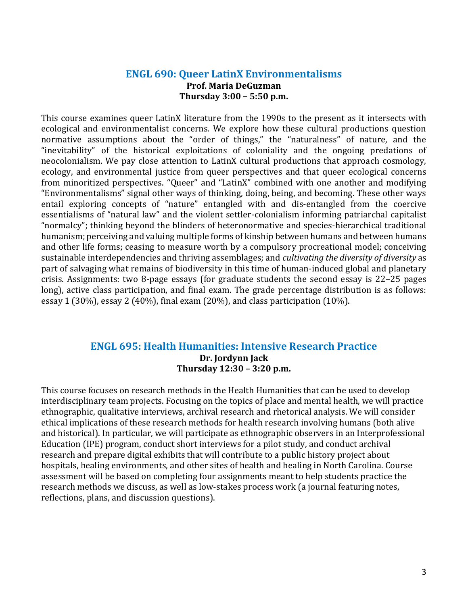#### **ENGL 690: Queer LatinX Environmentalisms Prof. Maria DeGuzman Thursday 3:00 – 5:50 p.m.**

This course examines queer LatinX literature from the 1990s to the present as it intersects with ecological and environmentalist concerns. We explore how these cultural productions question normative assumptions about the "order of things," the "naturalness" of nature, and the "inevitability" of the historical exploitations of coloniality and the ongoing predations of neocolonialism. We pay close attention to LatinX cultural productions that approach cosmology, ecology, and environmental justice from queer perspectives and that queer ecological concerns from minoritized perspectives. "Queer" and "LatinX" combined with one another and modifying "Environmentalisms" signal other ways of thinking, doing, being, and becoming. These other ways entail exploring concepts of "nature" entangled with and dis-entangled from the coercive essentialisms of "natural law" and the violent settler-colonialism informing patriarchal capitalist "normalcy"; thinking beyond the blinders of heteronormative and species-hierarchical traditional humanism; perceiving and valuing multiple forms of kinship between humans and between humans and other life forms; ceasing to measure worth by a compulsory procreational model; conceiving sustainable interdependencies and thriving assemblages; and *cultivating the diversity of diversity* as part of salvaging what remains of biodiversity in this time of human-induced global and planetary crisis. Assignments: two 8-page essays (for graduate students the second essay is 22–25 pages long), active class participation, and final exam. The grade percentage distribution is as follows: essay 1 (30%), essay 2 (40%), final exam (20%), and class participation (10%).

#### **ENGL 695: Health Humanities: Intensive Research Practice Dr. Jordynn Jack Thursday 12:30 – 3:20 p.m.**

This course focuses on research methods in the Health Humanities that can be used to develop interdisciplinary team projects. Focusing on the topics of place and mental health, we will practice ethnographic, qualitative interviews, archival research and rhetorical analysis. We will consider ethical implications of these research methods for health research involving humans (both alive and historical). In particular, we will participate as ethnographic observers in an Interprofessional Education (IPE) program, conduct short interviews for a pilot study, and conduct archival research and prepare digital exhibits that will contribute to a public history project about hospitals, healing environments, and other sites of health and healing in North Carolina. Course assessment will be based on completing four assignments meant to help students practice the research methods we discuss, as well as low-stakes process work (a journal featuring notes, reflections, plans, and discussion questions).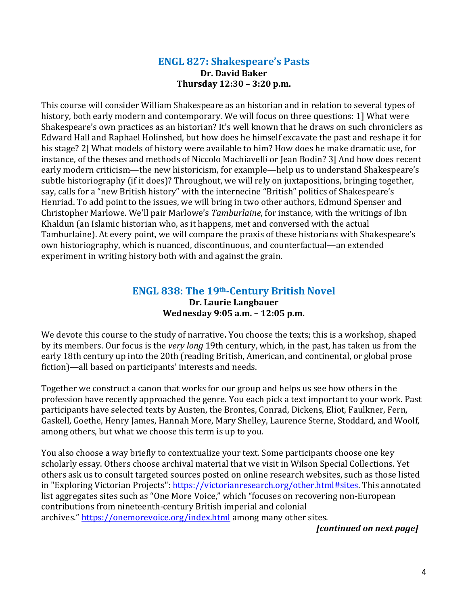#### **ENGL 827: Shakespeare's Pasts Dr. David Baker Thursday 12:30 – 3:20 p.m.**

This course will consider William Shakespeare as an historian and in relation to several types of history, both early modern and contemporary. We will focus on three questions: 1] What were Shakespeare's own practices as an historian? It's well known that he draws on such chroniclers as Edward Hall and Raphael Holinshed, but how does he himself excavate the past and reshape it for his stage? 2] What models of history were available to him? How does he make dramatic use, for instance, of the theses and methods of Niccolo Machiavelli or Jean Bodin? 3] And how does recent early modern criticism—the new historicism, for example—help us to understand Shakespeare's subtle historiography (if it does)? Throughout, we will rely on juxtapositions, bringing together, say, calls for a "new British history" with the internecine "British" politics of Shakespeare's Henriad. To add point to the issues, we will bring in two other authors, Edmund Spenser and Christopher Marlowe. We'll pair Marlowe's *Tamburlaine*, for instance, with the writings of Ibn Khaldun (an Islamic historian who, as it happens, met and conversed with the actual Tamburlaine). At every point, we will compare the praxis of these historians with Shakespeare's own historiography, which is nuanced, discontinuous, and counterfactual—an extended experiment in writing history both with and against the grain.

#### **ENGL 838: The 19th-Century British Novel Dr. Laurie Langbauer Wednesday 9:05 a.m. – 12:05 p.m.**

We devote this course to the study of narrative**.** You choose the texts; this is a workshop, shaped by its members. Our focus is the *very long* 19th century, which, in the past, has taken us from the early 18th century up into the 20th (reading British, American, and continental, or global prose fiction)—all based on participants' interests and needs.

Together we construct a canon that works for our group and helps us see how others in the profession have recently approached the genre. You each pick a text important to your work. Past participants have selected texts by Austen, the Brontes, Conrad, Dickens, Eliot, Faulkner, Fern, Gaskell, Goethe, Henry James, Hannah More, Mary Shelley, Laurence Sterne, Stoddard, and Woolf, among others, but what we choose this term is up to you.

You also choose a way briefly to contextualize your text. Some participants choose one key scholarly essay. Others choose archival material that we visit in Wilson Special Collections. Yet others ask us to consult targeted sources posted on online research websites, such as those listed in "Exploring Victorian Projects": [https://victorianresearch.org/other.html#sites.](https://victorianresearch.org/other.html#sites) This annotated list aggregates sites such as "One More Voice," which "focuses on recovering non-European contributions from nineteenth-century British imperial and colonial archives." <https://onemorevoice.org/index.html> among many other sites.

*[continued on next page]*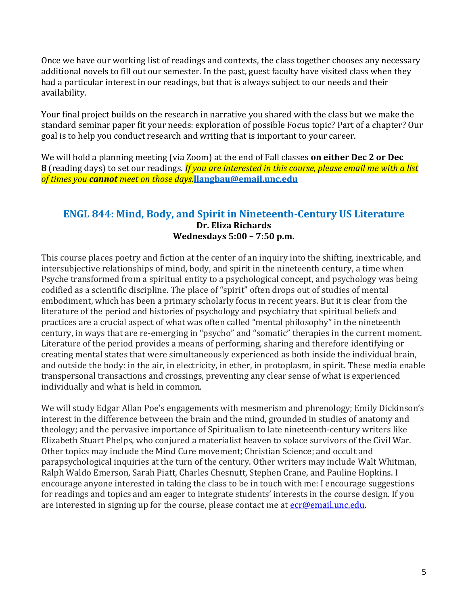Once we have our working list of readings and contexts, the class together chooses any necessary additional novels to fill out our semester. In the past, guest faculty have visited class when they had a particular interest in our readings, but that is always subject to our needs and their availability.

Your final project builds on the research in narrative you shared with the class but we make the standard seminar paper fit your needs: exploration of possible Focus topic? Part of a chapter? Our goal is to help you conduct research and writing that is important to your career.

We will hold a planning meeting (via Zoom) at the end of Fall classes **on either Dec 2 or Dec 8** (reading days) to set our readings. *If you are interested in this course, please email me with a list of times you cannot meet on those days.***[llangbau@email.unc.edu](mailto:llangbau@email.unc.edu)**

#### **ENGL 844: Mind, Body, and Spirit in Nineteenth-Century US Literature Dr. Eliza Richards Wednesdays 5:00 – 7:50 p.m.**

This course places poetry and fiction at the center of an inquiry into the shifting, inextricable, and intersubjective relationships of mind, body, and spirit in the nineteenth century, a time when Psyche transformed from a spiritual entity to a psychological concept, and psychology was being codified as a scientific discipline. The place of "spirit" often drops out of studies of mental embodiment, which has been a primary scholarly focus in recent years. But it is clear from the literature of the period and histories of psychology and psychiatry that spiritual beliefs and practices are a crucial aspect of what was often called "mental philosophy" in the nineteenth century, in ways that are re-emerging in "psycho" and "somatic" therapies in the current moment. Literature of the period provides a means of performing, sharing and therefore identifying or creating mental states that were simultaneously experienced as both inside the individual brain, and outside the body: in the air, in electricity, in ether, in protoplasm, in spirit. These media enable transpersonal transactions and crossings, preventing any clear sense of what is experienced individually and what is held in common.

We will study Edgar Allan Poe's engagements with mesmerism and phrenology; Emily Dickinson's interest in the difference between the brain and the mind, grounded in studies of anatomy and theology; and the pervasive importance of Spiritualism to late nineteenth-century writers like Elizabeth Stuart Phelps, who conjured a materialist heaven to solace survivors of the Civil War. Other topics may include the Mind Cure movement; Christian Science; and occult and parapsychological inquiries at the turn of the century. Other writers may include Walt Whitman, Ralph Waldo Emerson, Sarah Piatt, Charles Chesnutt, Stephen Crane, and Pauline Hopkins. I encourage anyone interested in taking the class to be in touch with me: I encourage suggestions for readings and topics and am eager to integrate students' interests in the course design. If you are interested in signing up for the course, please contact me at **ecr@email.unc.edu**.